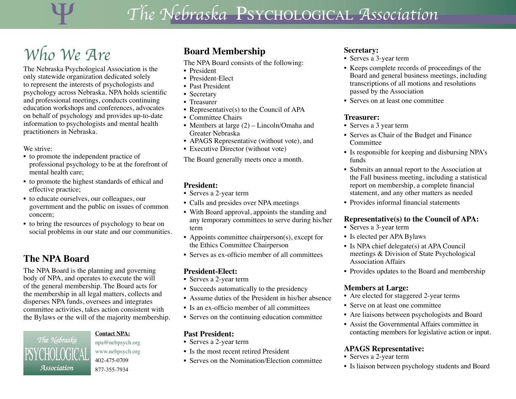# Ψ *The Nebraska* Psychological *Association*

# *Who We Are*

The Nebraska Psychological Association is the only statewide organization dedicated solely to represent the interests of psychologists and psychology across Nebraska. NPA holds scientific and professional meetings, conducts continuing education workshops and conferences, advocates on behalf of psychology and provides up-to-date information to psychologists and mental health practitioners in Nebraska.

We strive:

- to promote the independent practice of professional psychology to be at the forefront of mental health care;
- to promote the highest standards of ethical and effective practice;
- to educate ourselves, our colleagues, our government and the public on issues of common concern;
- to bring the resources of psychology to bear on social problems in our state and our communities.

## **The NPA Board**

The NPA Board is the planning and governing body of NPA, and operates to execute the will of the general membership. The Board acts for the membership in all legal matters, collects and disperses NPA funds, oversees and integrates committee activities, takes action consistent with the Bylaws or the will of the majority membership.

*The Nebraska Association* I SI UNULUUIUAL

#### **Contact NPA:**

[npa@nebpsych.org](mailto:npa%40nebpsych.org?subject=) [www.nebpsych.org](http://www.nebpsych.org) 402-475-0709 877-355-7934

## **Board Membership**

The NPA Board consists of the following:

- President
- President-Elect
- Past President
- Secretary
- Treasurer
- Representative(s) to the Council of APA
- Committee Chairs
- Members at large (2) Lincoln/Omaha and Greater Nebraska
- APAGS Representative (without vote), and
- Executive Director (without vote)

The Board generally meets once a month.

#### **President:**

- Serves a 2-year term
- Calls and presides over NPA meetings
- With Board approval, appoints the standing and any temporary committees to serve during his/her term
- Appoints committee chairperson(s), except for the Ethics Committee Chairperson
- Serves as ex-officio member of all committees

#### **President-Elect:**

- Serves a 2-year term
- Succeeds automatically to the presidency
- Assume duties of the President in his/her absence
- Is an ex-officio member of all committees
- Serves on the continuing education committee

#### **Past President:**

- Serves a 2-year term
- Is the most recent retired President
- Serves on the Nomination/Election committee

#### **Secretary:**

- Serves a 3-year term
- Keeps complete records of proceedings of the Board and general business meetings, including transcriptions of all motions and resolutions passed by the Association
- Serves on at least one committee

#### **Treasurer:**

- Serves a 3 year term
- Serves as Chair of the Budget and Finance Committee
- Is responsible for keeping and disbursing NPA's funds
- Submits an annual report to the Association at the Fall business meeting, including a statistical report on membership, a complete financial statement, and any other matters as needed
- Provides informal financial statements

#### **Representative(s) to the Council of APA:**

- Serves a 3-year term
- Is elected per APA Bylaws
- Is NPA chief delegate(s) at APA Council meetings & Division of State Psychological Association Affairs
- Provides updates to the Board and membership

#### **Members at Large:**

- Are elected for staggered 2-year terms
- Serve on at least one committee
- Are liaisons between psychologists and Board
- Assist the Governmental Affairs committee in contacting members for legislative action or input.

#### **APAGS Representative:**

- Serves a 2-year term
- Is liaison between psychology students and Board